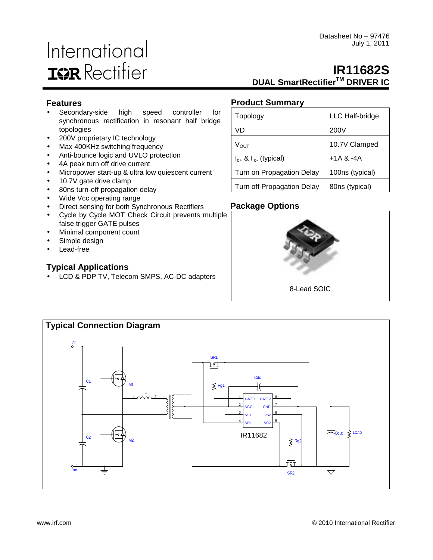# International **IGR** Rectifier

## **IR11682S DUAL SmartRectifierTM DRIVER IC**

## **Features**

- Secondary-side high speed controller for synchronous rectification in resonant half bridge topologies
- 200V proprietary IC technology
- Max 400KHz switching frequency
- Anti-bounce logic and UVLO protection
- 4A peak turn off drive current
- Micropower start-up & ultra low quiescent current
- 10.7V gate drive clamp
- 80ns turn-off propagation delay
- Wide Vcc operating range
- Direct sensing for both Synchronous Rectifiers
- Cycle by Cycle MOT Check Circuit prevents multiple false trigger GATE pulses
- Minimal component count
- Simple design
- Lead-free

## **Typical Applications**

• LCD & PDP TV, Telecom SMPS, AC-DC adapters

## **Product Summary**

| Topology                       | LLC Half-bridge |
|--------------------------------|-----------------|
| VD                             | 200V            |
| $V_{\text{OUT}}$               | 10.7V Clamped   |
| $I_{o+}$ & $I_{o}$ . (typical) | $+1A$ & $-4A$   |
| Turn on Propagation Delay      | 100ns (typical) |
| Turn off Propagation Delay     | 80ns (typical)  |

## **Package Options**



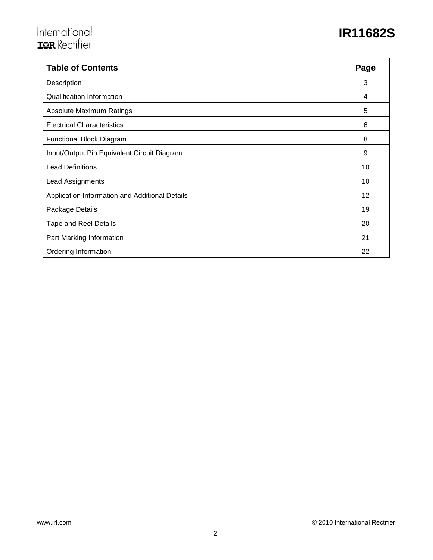# International<br>T<sup>2</sup>R Rectifier  $\overline{\phantom{a}}$

# **IR11682S**

| <b>Table of Contents</b>                       | Page |
|------------------------------------------------|------|
| Description                                    | 3    |
| <b>Qualification Information</b>               | 4    |
| Absolute Maximum Ratings                       | 5    |
| <b>Electrical Characteristics</b>              | 6    |
| <b>Functional Block Diagram</b>                | 8    |
| Input/Output Pin Equivalent Circuit Diagram    | 9    |
| <b>Lead Definitions</b>                        | 10   |
| <b>Lead Assignments</b>                        | 10   |
| Application Information and Additional Details | 12   |
| Package Details                                | 19   |
| <b>Tape and Reel Details</b>                   | 20   |
| Part Marking Information                       | 21   |
| Ordering Information                           | 22   |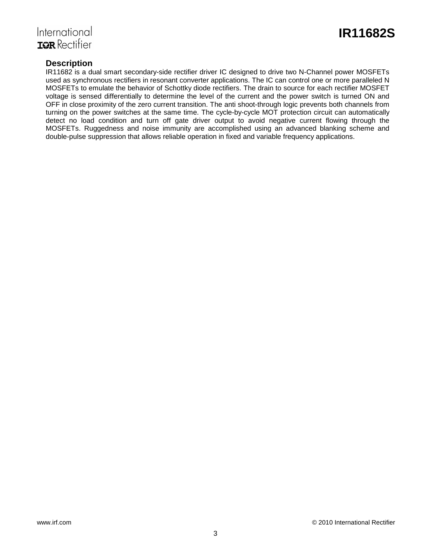

## International **IGR** Rectifier

## **Description**

IR11682 is a dual smart secondary-side rectifier driver IC designed to drive two N-Channel power MOSFETs used as synchronous rectifiers in resonant converter applications. The IC can control one or more paralleled N MOSFETs to emulate the behavior of Schottky diode rectifiers. The drain to source for each rectifier MOSFET voltage is sensed differentially to determine the level of the current and the power switch is turned ON and OFF in close proximity of the zero current transition. The anti shoot-through logic prevents both channels from turning on the power switches at the same time. The cycle-by-cycle MOT protection circuit can automatically detect no load condition and turn off gate driver output to avoid negative current flowing through the MOSFETs. Ruggedness and noise immunity are accomplished using an advanced blanking scheme and double-pulse suppression that allows reliable operation in fixed and variable frequency applications.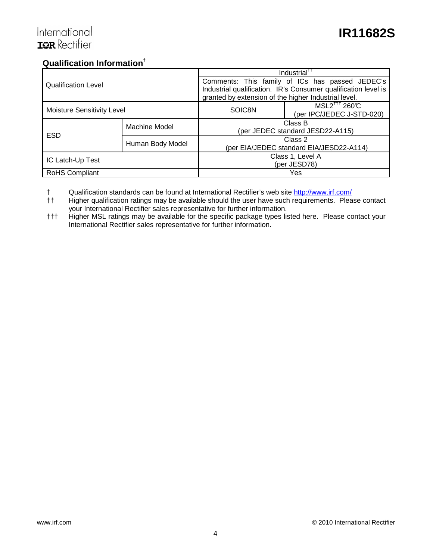## International **ISR** Rectifier

## **Qualification Information†**

|                                   |                  | Industrial <sup>TT</sup>                             |                                                                |  |  |  |
|-----------------------------------|------------------|------------------------------------------------------|----------------------------------------------------------------|--|--|--|
| <b>Qualification Level</b>        |                  |                                                      | Comments: This family of ICs has passed JEDEC's                |  |  |  |
|                                   |                  |                                                      | Industrial qualification. IR's Consumer qualification level is |  |  |  |
|                                   |                  | granted by extension of the higher Industrial level. |                                                                |  |  |  |
|                                   |                  | SOIC8N                                               | $MSL2^{\dagger\dagger\dagger}$ 260°C                           |  |  |  |
| <b>Moisture Sensitivity Level</b> |                  |                                                      | (per IPC/JEDEC J-STD-020)                                      |  |  |  |
|                                   | Machine Model    | Class B                                              |                                                                |  |  |  |
| <b>ESD</b>                        |                  | (per JEDEC standard JESD22-A115)                     |                                                                |  |  |  |
|                                   |                  | Class 2                                              |                                                                |  |  |  |
|                                   | Human Body Model | (per EIA/JEDEC standard EIA/JESD22-A114)             |                                                                |  |  |  |
| IC Latch-Up Test                  |                  | Class 1, Level A                                     |                                                                |  |  |  |
|                                   |                  | (per JESD78)                                         |                                                                |  |  |  |
| <b>RoHS Compliant</b>             |                  | Yes                                                  |                                                                |  |  |  |

† Qualification standards can be found at International Rectifier's web site http://www.irf.com/

†† Higher qualification ratings may be available should the user have such requirements. Please contact your International Rectifier sales representative for further information.

††† Higher MSL ratings may be available for the specific package types listed here. Please contact your International Rectifier sales representative for further information.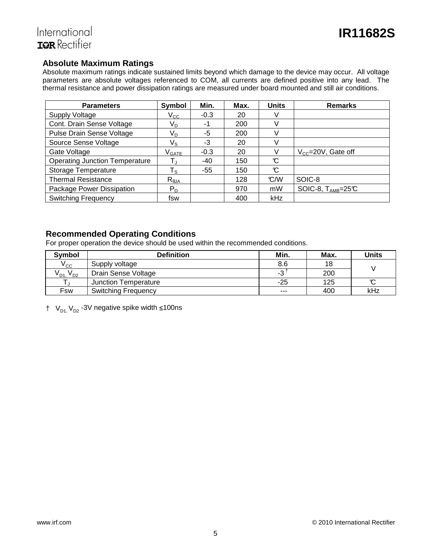## **Absolute Maximum Ratings**

Absolute maximum ratings indicate sustained limits beyond which damage to the device may occur. All voltage parameters are absolute voltages referenced to COM, all currents are defined positive into any lead. The thermal resistance and power dissipation ratings are measured under board mounted and still air conditions.

| <b>Parameters</b>                     | Symbol                       | Min.   | Max. | <b>Units</b> | <b>Remarks</b>                   |
|---------------------------------------|------------------------------|--------|------|--------------|----------------------------------|
| <b>Supply Voltage</b>                 | $\rm V_{CC}$                 | $-0.3$ | 20   |              |                                  |
| Cont. Drain Sense Voltage             | V <sub>D</sub>               | -1     | 200  | V            |                                  |
| Pulse Drain Sense Voltage             | V <sub>D</sub>               | -5     | 200  | V            |                                  |
| Source Sense Voltage                  | Vs                           | -3     | 20   |              |                                  |
| Gate Voltage                          | $\mathsf{V}_{\mathsf{GATE}}$ | $-0.3$ | 20   | V            | $V_{\text{cc}} = 20V$ , Gate off |
| <b>Operating Junction Temperature</b> |                              | $-40$  | 150  | C            |                                  |
| Storage Temperature                   | $\mathsf{T}_\mathsf{S}$      | -55    | 150  | C            |                                  |
| <b>Thermal Resistance</b>             | $R_{\theta$ JA               |        | 128  | C/W          | SOIC-8                           |
| Package Power Dissipation             | $P_D$                        |        | 970  | mW           | SOIC-8, $T_{AMB} = 25C$          |
| <b>Switching Frequency</b>            | fsw                          |        | 400  | kHz          |                                  |

#### **Recommended Operating Conditions**

For proper operation the device should be used within the recommended conditions.

| <b>Symbol</b>        | <b>Definition</b>          | Min.    | Max. | <b>Units</b> |
|----------------------|----------------------------|---------|------|--------------|
| $V_{\rm CC}$         | Supply voltage             | 8.6     | 18   |              |
| $V_{D1}$<br>$v_{D2}$ | Drain Sense Voltage        | -3      | 200  |              |
|                      | Junction Temperature       | -25     | 125  | $\sim$       |
| Fsw                  | <b>Switching Frequency</b> | $- - -$ | 400  | kHz          |

†  $V_{D1}$  V<sub>D2</sub> -3V negative spike width ≤100ns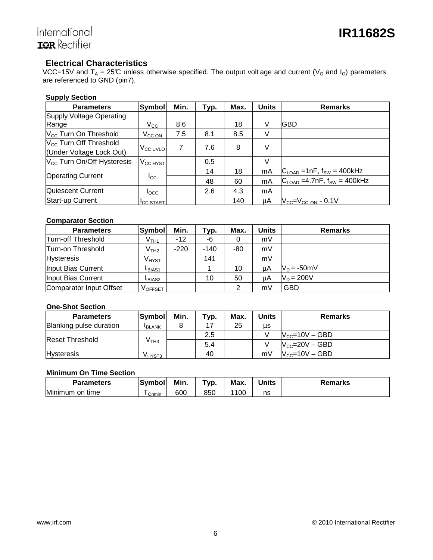## **Electrical Characteristics**

VCC=15V and T<sub>A</sub> = 25°C unless otherwise specified. The output volt age and current (V<sub>O</sub> and I<sub>O</sub>) parameters are referenced to GND (pin7).

#### **Supply Section**

| <b>Parameters</b>                      | Symbol               | Min. | Typ. | Max. | <b>Units</b> | <b>Remarks</b>                                      |
|----------------------------------------|----------------------|------|------|------|--------------|-----------------------------------------------------|
| Supply Voltage Operating               |                      |      |      |      |              |                                                     |
| Range                                  | $V_{\rm CC}$         | 8.6  |      | 18   | V            | <b>IGBD</b>                                         |
| V <sub>CC</sub> Turn On Threshold      | $V_{CC ON}$          | 7.5  | 8.1  | 8.5  | V            |                                                     |
| $V_{\text{cc}}$ Turn Off Threshold     |                      | 7    | 7.6  | 8    | ٧            |                                                     |
| (Under Voltage Lock Out)               | $V_{\rm CC}$ UVLO    |      |      |      |              |                                                     |
| V <sub>CC</sub> Turn On/Off Hysteresis | $V_{\text{CC HYST}}$ |      | 0.5  |      | $\vee$       |                                                     |
|                                        |                      |      | 14   | 18   | mA           | $ C_{\text{LOAD}} $ = 1nF, f <sub>SW</sub> = 400kHz |
| <b>Operating Current</b>               | $_{\rm{lcc}}$        |      | 48   | 60   | mA           | $C_{\text{LOAD}}$ =4.7nF, $f_{SW}$ = 400kHz         |
| Quiescent Current                      | $I_{\text{QCC}}$     |      | 2.6  | 4.3  | mA           |                                                     |
| Start-up Current                       | <b>ICC START</b>     |      |      | 140  | μA           | $V_{CC} = V_{CC ON} - 0.1V$                         |

#### **Comparator Section**

| <b>Parameters</b>       | Symbol                         | Min.   | ⊤ур.   | Max. | Units | <b>Remarks</b> |
|-------------------------|--------------------------------|--------|--------|------|-------|----------------|
| Turn-off Threshold      | $\mathsf{V}_{\mathsf{TH1}}$    | $-12$  | -6     |      | mV    |                |
| Turn-on Threshold       | $\rm V_{TH2}$                  | $-220$ | $-140$ | -80  | mV    |                |
| <b>Hysteresis</b>       | V <sub>HYST</sub>              |        | 141    |      | mV    |                |
| Input Bias Current      | <b>IBIAS1</b>                  |        |        | 10   | uA    | $V_D = -50$ mV |
| Input Bias Current      | <b>IBIAS2</b>                  |        | 10     | 50   | uA    | $V_D = 200V$   |
| Comparator Input Offset | $\mathsf{V}_{\mathsf{OFFSET}}$ |        |        | 2    | mV    | <b>GBD</b>     |

#### **One-Shot Section**

| <b>Parameters</b>       | <b>Symbol</b> | Min. | Typ. | Max. | Units | <b>Remarks</b>             |
|-------------------------|---------------|------|------|------|-------|----------------------------|
| Blanking pulse duration | <b>IBLANK</b> |      |      | 25   | μs    |                            |
| <b>Reset Threshold</b>  | V тнз         |      | 2.5  |      |       | $N_{\text{CC}}$ =10V – GBD |
|                         |               |      | 5.4  |      |       | $V_{CC}$ =20V – GBD        |
| <b>Hysteresis</b>       | V HYST3       |      | 40   |      | mV    | $V_{\text{cc}}$ =10V – GBD |

#### **Minimum On Time Section**

| <b>Parameters</b>     | Svmbol | Min. | Vp. | <b>Max</b> | Units | Remarks |
|-----------------------|--------|------|-----|------------|-------|---------|
| Minimum<br>time<br>on | Onmin  | 600  | 850 | 100        | ns    |         |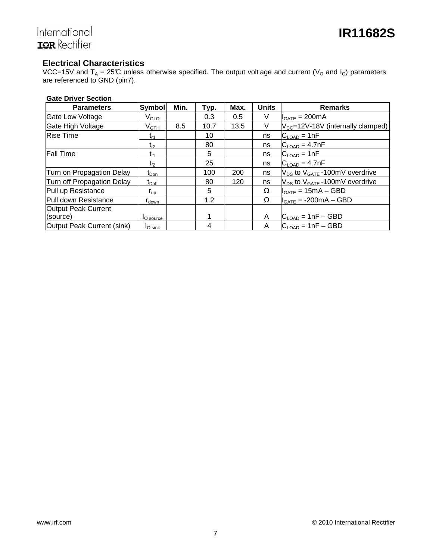# International<br>**IQR** Rectifier

## **Electrical Characteristics**

VCC=15V and T<sub>A</sub> = 25°C unless otherwise specified. The output volt age and current (V<sub>O</sub> and I<sub>O</sub>) parameters are referenced to GND (pin7).

#### **Gate Driver Section**

| <b>Parameters</b>          | <b>Symbol</b>                | Min. | Typ. | Max. | <b>Units</b> | <b>Remarks</b>                                |
|----------------------------|------------------------------|------|------|------|--------------|-----------------------------------------------|
| <b>Gate Low Voltage</b>    | $V_{\scriptstyle\text{GLO}}$ |      | 0.3  | 0.5  | V            | $I_{GATE} = 200mA$                            |
| Gate High Voltage          | $V_{\mathsf{GTH}}$           | 8.5  | 10.7 | 13.5 | V            | $V_{\text{CC}}$ =12V-18V (internally clamped) |
| <b>Rise Time</b>           | t <sub>r1</sub>              |      | 10   |      | ns           | $C_{\text{LOAD}} = 1nF$                       |
|                            | $\mathsf{t}_{\mathsf{r}2}$   |      | 80   |      | ns           | $C_{\text{LOAD}} = 4.7$ nF                    |
| <b>Fall Time</b>           | t <sub>f1</sub>              |      | 5    |      | ns           | $C_{\text{LOAD}} = 1nF$                       |
|                            | $t_{f2}$                     |      | 25   |      | ns           | $C_{\text{LOAD}} = 4.7$ nF                    |
| Turn on Propagation Delay  | $t_{Don}$                    |      | 100  | 200  | ns           | $V_{DS}$ to $V_{GATE}$ -100mV overdrive       |
| Turn off Propagation Delay | $t_{\text{Doff}}$            |      | 80   | 120  | ns           | $V_{DS}$ to $V_{GATE}$ -100mV overdrive       |
| Pull up Resistance         | $r_{\text{up}}$              |      | 5    |      | Ω            | $I_{GATE} = 15mA - GBD$                       |
| Pull down Resistance       | r <sub>down</sub>            |      | 1.2  |      | Ω            | $I_{GATE} = -200mA - GBD$                     |
| Output Peak Current        |                              |      |      |      |              |                                               |
| (source)                   | l <sub>O</sub> source        |      |      |      | A            | $C_{\text{LOAD}} = 1nF - GBD$                 |
| Output Peak Current (sink) | $I_{\text{O sink}}$          |      | 4    |      | A            | $C_{\text{LOAD}} = 1nF - GBD$                 |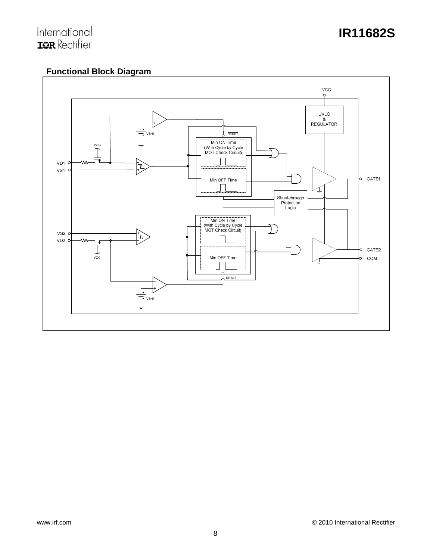# International<br>**IGR** Rectifier

## **Functional Block Diagram**

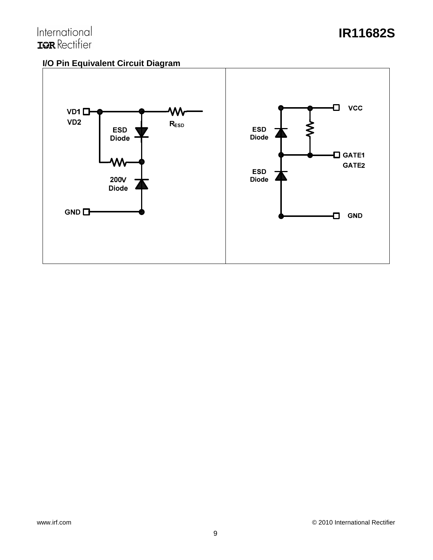## **IR11682S**

## **I/O Pin Equivalent Circuit Diagram**

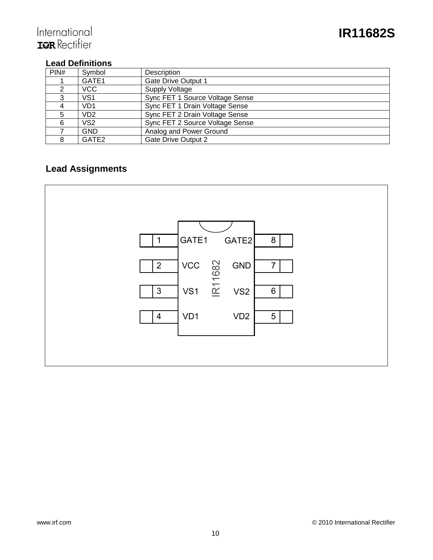## **Lead Definitions**

| PIN# | Symbol           | Description                     |
|------|------------------|---------------------------------|
|      | GATE1            | <b>Gate Drive Output 1</b>      |
|      | <b>VCC</b>       | <b>Supply Voltage</b>           |
| 3    | VS <sub>1</sub>  | Sync FET 1 Source Voltage Sense |
|      | V <sub>D</sub> 1 | Sync FET 1 Drain Voltage Sense  |
| 5    | V <sub>D</sub> 2 | Sync FET 2 Drain Voltage Sense  |
| 6    | VS <sub>2</sub>  | Sync FET 2 Source Voltage Sense |
|      | <b>GND</b>       | Analog and Power Ground         |
| 8    | GATE2            | <b>Gate Drive Output 2</b>      |

## **Lead Assignments**

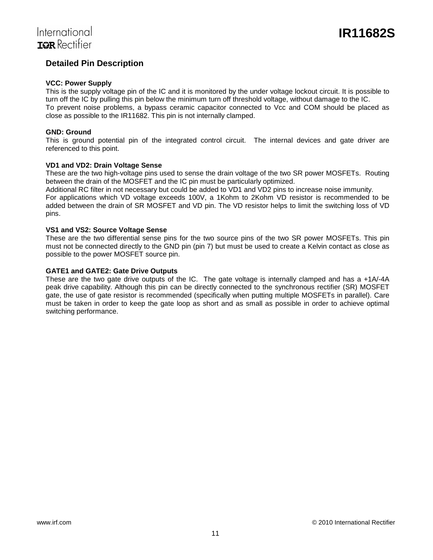## **Detailed Pin Description**

#### **VCC: Power Supply**

This is the supply voltage pin of the IC and it is monitored by the under voltage lockout circuit. It is possible to turn off the IC by pulling this pin below the minimum turn off threshold voltage, without damage to the IC. To prevent noise problems, a bypass ceramic capacitor connected to Vcc and COM should be placed as close as possible to the IR11682. This pin is not internally clamped.

#### **GND: Ground**

This is ground potential pin of the integrated control circuit. The internal devices and gate driver are referenced to this point.

#### **VD1 and VD2: Drain Voltage Sense**

These are the two high-voltage pins used to sense the drain voltage of the two SR power MOSFETs. Routing between the drain of the MOSFET and the IC pin must be particularly optimized.

Additional RC filter in not necessary but could be added to VD1 and VD2 pins to increase noise immunity. For applications which VD voltage exceeds 100V, a 1Kohm to 2Kohm VD resistor is recommended to be added between the drain of SR MOSFET and VD pin. The VD resistor helps to limit the switching loss of VD pins.

#### **VS1 and VS2: Source Voltage Sense**

These are the two differential sense pins for the two source pins of the two SR power MOSFETs. This pin must not be connected directly to the GND pin (pin 7) but must be used to create a Kelvin contact as close as possible to the power MOSFET source pin.

#### **GATE1 and GATE2: Gate Drive Outputs**

These are the two gate drive outputs of the IC. The gate voltage is internally clamped and has a +1A/-4A peak drive capability. Although this pin can be directly connected to the synchronous rectifier (SR) MOSFET gate, the use of gate resistor is recommended (specifically when putting multiple MOSFETs in parallel). Care must be taken in order to keep the gate loop as short and as small as possible in order to achieve optimal switching performance.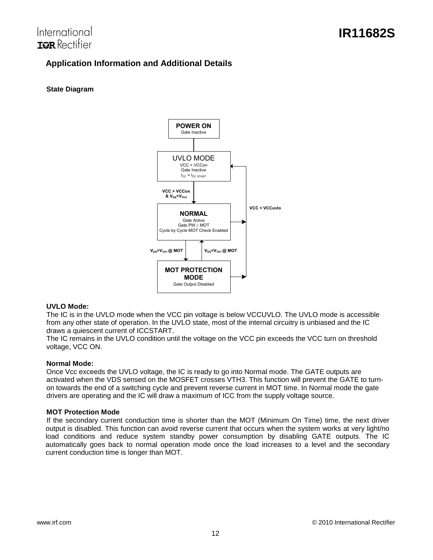## International TOR Rectifier

## **Application Information and Additional Details**

#### **State Diagram**



#### **UVLO Mode:**

The IC is in the UVLO mode when the VCC pin voltage is below VCCUVLO. The UVLO mode is accessible from any other state of operation. In the UVLO state, most of the internal circuitry is unbiased and the IC draws a quiescent current of ICCSTART.

The IC remains in the UVLO condition until the voltage on the VCC pin exceeds the VCC turn on threshold voltage, VCC ON.

#### **Normal Mode:**

Once Vcc exceeds the UVLO voltage, the IC is ready to go into Normal mode. The GATE outputs are activated when the VDS sensed on the MOSFET crosses VTH3. This function will prevent the GATE to turnon towards the end of a switching cycle and prevent reverse current in MOT time. In Normal mode the gate drivers are operating and the IC will draw a maximum of ICC from the supply voltage source.

#### **MOT Protection Mode**

If the secondary current conduction time is shorter than the MOT (Minimum On Time) time, the next driver output is disabled. This function can avoid reverse current that occurs when the system works at very light/no load conditions and reduce system standby power consumption by disabling GATE outputs. The IC automatically goes back to normal operation mode once the load increases to a level and the secondary current conduction time is longer than MOT.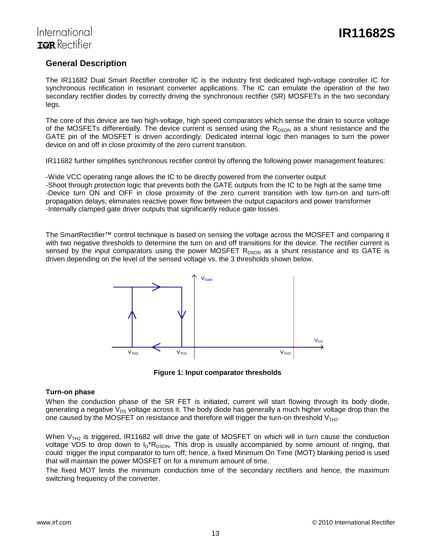### **General Description**

The IR11682 Dual Smart Rectifier controller IC is the industry first dedicated high-voltage controller IC for synchronous rectification in resonant converter applications. The IC can emulate the operation of the two secondary rectifier diodes by correctly driving the synchronous rectifier (SR) MOSFETs in the two secondary legs.

The core of this device are two high-voltage, high speed comparators which sense the drain to source voltage of the MOSFETs differentially. The device current is sensed using the  $R_{DSON}$  as a shunt resistance and the GATE pin of the MOSFET is driven accordingly. Dedicated internal logic then manages to turn the power device on and off in close proximity of the zero current transition.

IR11682 further simplifies synchronous rectifier control by offering the following power management features:

-Wide VCC operating range allows the IC to be directly powered from the converter output -Shoot through protection logic that prevents both the GATE outputs from the IC to be high at the same time -Device turn ON and OFF in close proximity of the zero current transition with low turn-on and turn-off propagation delays; eliminates reactive power flow between the output capacitors and power transformer -Internally clamped gate driver outputs that significantly reduce gate losses.

The SmartRectifier™ control technique is based on sensing the voltage across the MOSFET and comparing it with two negative thresholds to determine the turn on and off transitions for the device. The rectifier current is sensed by the input comparators using the power MOSFET  $R_{DSON}$  as a shunt resistance and its GATE is driven depending on the level of the sensed voltage vs. the 3 thresholds shown below.



**Figure 1: Input comparator thresholds**

#### **Turn-on phase**

When the conduction phase of the SR FET is initiated, current will start flowing through its body diode, generating a negative  $V_{DS}$  voltage across it. The body diode has generally a much higher voltage drop than the one caused by the MOSFET on resistance and therefore will trigger the turn-on threshold  $V<sub>TH2</sub>$ .

When  $V<sub>TH2</sub>$  is triggered, IR11682 will drive the gate of MOSFET on which will in turn cause the conduction voltage VDS to drop down to  $I_D*R_{DSON}$ . This drop is usually accompanied by some amount of ringing, that could trigger the input comparator to turn off; hence, a fixed Minimum On Time (MOT) blanking period is used that will maintain the power MOSFET on for a minimum amount of time.

The fixed MOT limits the minimum conduction time of the secondary rectifiers and hence, the maximum switching frequency of the converter.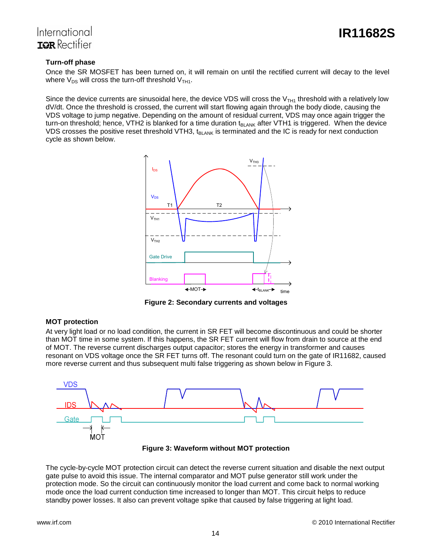

## International TOR Rectifier

#### **Turn-off phase**

Once the SR MOSFET has been turned on, it will remain on until the rectified current will decay to the level where  $V_{DS}$  will cross the turn-off threshold  $V_{TH1}$ .

Since the device currents are sinusoidal here, the device VDS will cross the  $V<sub>TH1</sub>$  threshold with a relatively low dV/dt. Once the threshold is crossed, the current will start flowing again through the body diode, causing the VDS voltage to jump negative. Depending on the amount of residual current, VDS may once again trigger the turn-on threshold; hence, VTH2 is blanked for a time duration  $t_{BLANK}$  after VTH1 is triggered. When the device VDS crosses the positive reset threshold VTH3,  $t_{BLANK}$  is terminated and the IC is ready for next conduction cycle as shown below.



**Figure 2: Secondary currents and voltages** 

#### **MOT protection**

At very light load or no load condition, the current in SR FET will become discontinuous and could be shorter than MOT time in some system. If this happens, the SR FET current will flow from drain to source at the end of MOT. The reverse current discharges output capacitor; stores the energy in transformer and causes resonant on VDS voltage once the SR FET turns off. The resonant could turn on the gate of IR11682, caused more reverse current and thus subsequent multi false triggering as shown below in Figure 3.



**Figure 3: Waveform without MOT protection** 

The cycle-by-cycle MOT protection circuit can detect the reverse current situation and disable the next output gate pulse to avoid this issue. The internal comparator and MOT pulse generator still work under the protection mode. So the circuit can continuously monitor the load current and come back to normal working mode once the load current conduction time increased to longer than MOT. This circuit helps to reduce standby power losses. It also can prevent voltage spike that caused by false triggering at light load.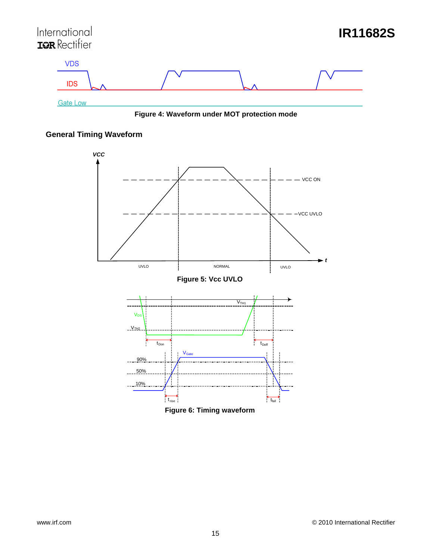

**Figure 4: Waveform under MOT protection mode** 

## **General Timing Waveform**



**Figure 6: Timing waveform**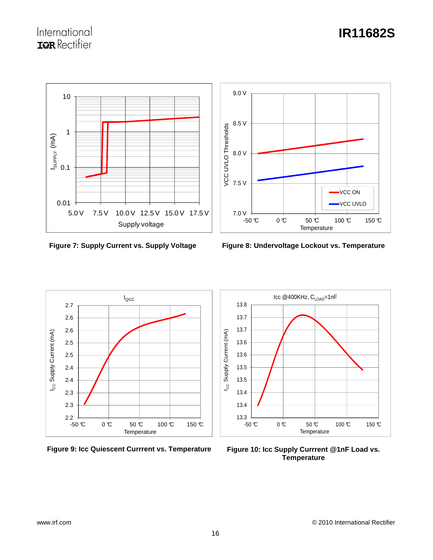## International **ISR** Rectifier

# **IR11682S**



**Figure 7: Supply Current vs. Supply Voltage** 



**Figure 8: Undervoltage Lockout vs. Temperature**



**Figure 9: Icc Quiescent Currrent vs. Temperature**



**Figure 10: Icc Supply Currrent @1nF Load vs. Temperature**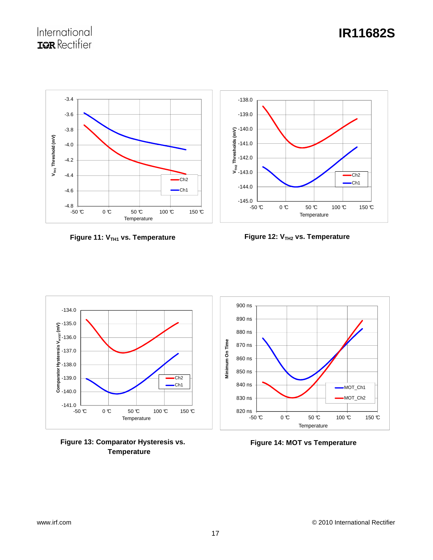# **IR11682S**



**Figure 11: V<sub>TH1</sub> vs. Temperature** 



**Figure 12: V<sub>TH2</sub> vs. Temperature** 



**Figure 13: Comparator Hysteresis vs. Temperature**

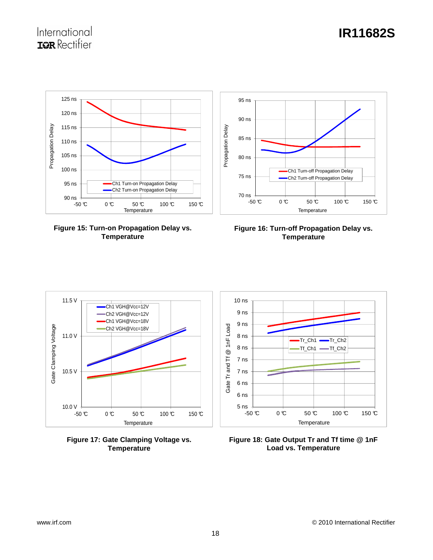

**Figure 15: Turn-on Propagation Delay vs. Temperature** 



**Figure 16: Turn-off Propagation Delay vs. Temperature** 



**Figure 17: Gate Clamping Voltage vs. Temperature** 



**Figure 18: Gate Output Tr and Tf time @ 1nF Load vs. Temperature**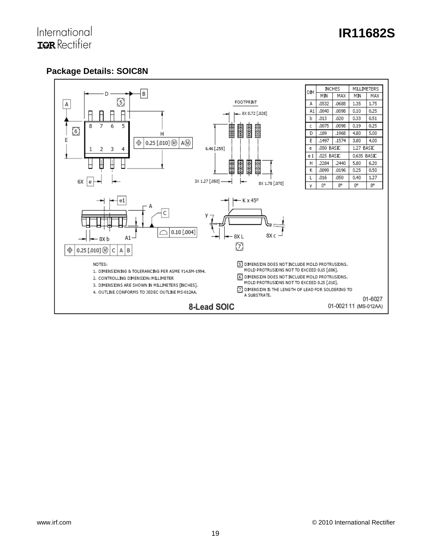## **Package Details: SOIC8N**

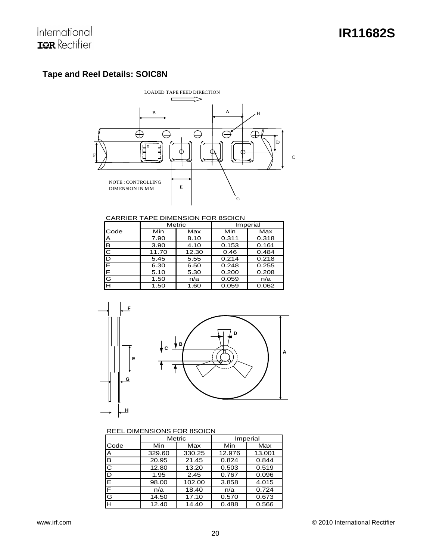## **Tape and Reel Details: SOIC8N**



CARRIER TAPE DIMENSION FOR 8SOICN

|      |       | Metric |       | Imperial |
|------|-------|--------|-------|----------|
| Code | Min   | Max    | Min   | Max      |
| A    | 7.90  | 8.10   | 0.311 | 0.318    |
| B    | 3.90  | 4.10   | 0.153 | 0.161    |
| C    | 11.70 | 12.30  | 0.46  | 0.484    |
| D    | 5.45  | 5.55   | 0.214 | 0.218    |
| E    | 6.30  | 6.50   | 0.248 | 0.255    |
| F    | 5.10  | 5.30   | 0.200 | 0.208    |
| G    | 1.50  | n/a    | 0.059 | n/a      |
| н    | 1.50  | 1.60   | 0.059 | 0.062    |



#### REEL DIMENSIONS FOR 8SOICN

|      | <b>Metric</b> |        | Imperial |        |
|------|---------------|--------|----------|--------|
| Code | Min           | Max    | Min      | Max    |
| ΙA   | 329.60        | 330.25 | 12.976   | 13.001 |
| B    | 20.95         | 21.45  | 0.824    | 0.844  |
| IС   | 12.80         | 13.20  | 0.503    | 0.519  |
| ID   | 1.95          | 2.45   | 0.767    | 0.096  |
| ΙE   | 98.00         | 102.00 | 3.858    | 4.015  |
| F    | n/a           | 18.40  | n/a      | 0.724  |
| lG   | 14.50         | 17.10  | 0.570    | 0.673  |
| Iн   | 12.40         | 14.40  | 0.488    | 0.566  |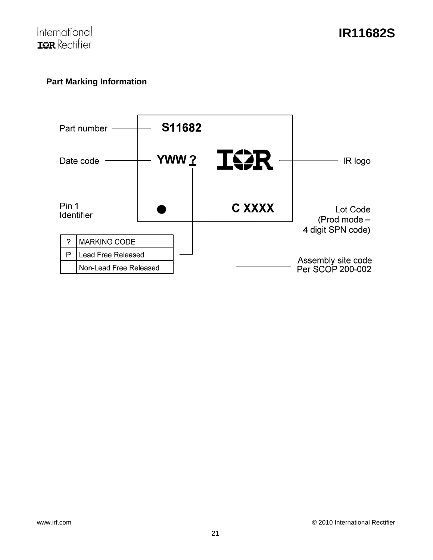

## **Part Marking Information**